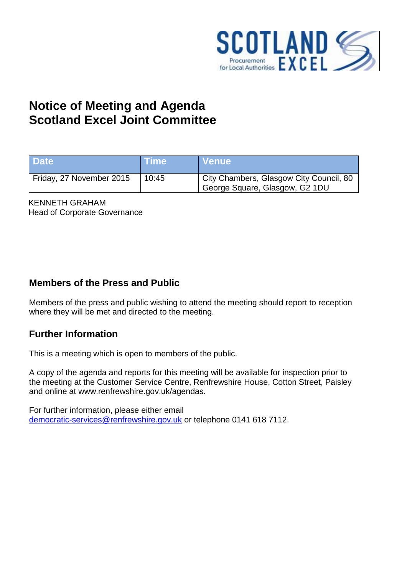

# **Notice of Meeting and Agenda Scotland Excel Joint Committee**

| <b>Date</b>              | ⊾Time! | l Venue!                                                                  |
|--------------------------|--------|---------------------------------------------------------------------------|
| Friday, 27 November 2015 | 10:45  | City Chambers, Glasgow City Council, 80<br>George Square, Glasgow, G2 1DU |

KENNETH GRAHAM Head of Corporate Governance

#### **Members of the Press and Public**

Members of the press and public wishing to attend the meeting should report to reception where they will be met and directed to the meeting.

#### **Further Information**

This is a meeting which is open to members of the public.

A copy of the agenda and reports for this meeting will be available for inspection prior to the meeting at the Customer Service Centre, Renfrewshire House, Cotton Street, Paisley and online at www.renfrewshire.gov.uk/agendas.

For further information, please either email [democratic-services@renfrewshire.gov.uk](mailto:democratic-services@renfrewshire.gov.uk) or telephone 0141 618 7112.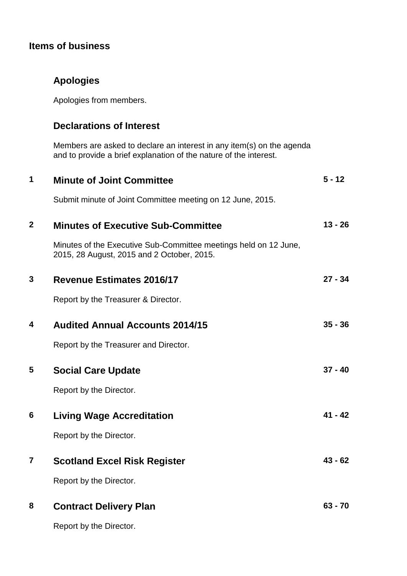### **Items of business**

# **Apologies**

Apologies from members.

## **Declarations of Interest**

Members are asked to declare an interest in any item(s) on the agenda and to provide a brief explanation of the nature of the interest.

| 1              | <b>Minute of Joint Committee</b>                                                                               | $5 - 12$  |
|----------------|----------------------------------------------------------------------------------------------------------------|-----------|
|                | Submit minute of Joint Committee meeting on 12 June, 2015.                                                     |           |
| $\overline{2}$ | <b>Minutes of Executive Sub-Committee</b>                                                                      | $13 - 26$ |
|                | Minutes of the Executive Sub-Committee meetings held on 12 June,<br>2015, 28 August, 2015 and 2 October, 2015. |           |
| 3              | <b>Revenue Estimates 2016/17</b>                                                                               | $27 - 34$ |
|                | Report by the Treasurer & Director.                                                                            |           |
| 4              | <b>Audited Annual Accounts 2014/15</b>                                                                         | $35 - 36$ |
|                | Report by the Treasurer and Director.                                                                          |           |
| 5              | <b>Social Care Update</b>                                                                                      | $37 - 40$ |
|                | Report by the Director.                                                                                        |           |
| 6              | <b>Living Wage Accreditation</b>                                                                               | $41 - 42$ |
|                | Report by the Director.                                                                                        |           |
| 7              | <b>Scotland Excel Risk Register</b>                                                                            | $43 - 62$ |
|                | Report by the Director.                                                                                        |           |
| 8              | <b>Contract Delivery Plan</b>                                                                                  | $63 - 70$ |
|                | Report by the Director.                                                                                        |           |